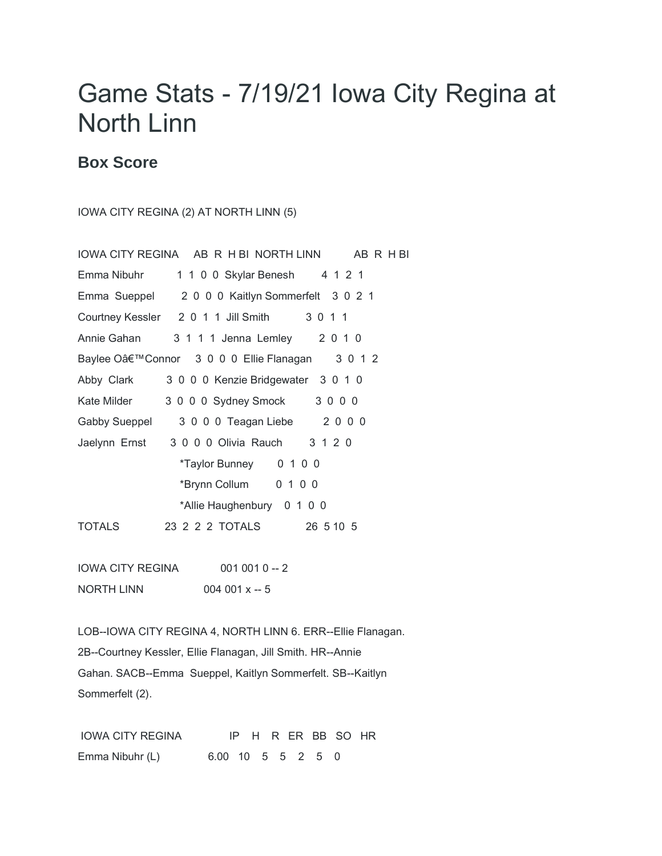## Game Stats - 7/19/21 Iowa City Regina at North Linn

## **Box Score**

IOWA CITY REGINA (2) AT NORTH LINN (5)

|               | IOWA CITY REGINA AB R H BI NORTH LINN AB R H BI |  |
|---------------|-------------------------------------------------|--|
| Emma Nibuhr   | 1 1 0 0 Skylar Benesh 4 1 2 1                   |  |
|               | Emma Sueppel 2000 Kaitlyn Sommerfelt 3021       |  |
|               | Courtney Kessler 2 0 1 1 Jill Smith 3 0 1 1     |  |
|               | Annie Gahan 3 1 1 1 Jenna Lemley 2 0 1 0        |  |
|               | Baylee O'Connor 3 0 0 0 Ellie Flanagan 3 0 1 2  |  |
| Abby Clark    | 3 0 0 0 Kenzie Bridgewater 3 0 1 0              |  |
| Kate Milder   | 3 0 0 0 Sydney Smock 3 0 0 0                    |  |
| Gabby Sueppel | 3 0 0 0 Teagan Liebe 2 0 0 0                    |  |
|               | Jaelynn Ernst 3 0 0 0 Olivia Rauch 3 1 2 0      |  |
|               | *Taylor Bunney 0 1 0 0                          |  |
|               | *Brynn Collum 0 1 0 0                           |  |
|               | *Allie Haughenbury 0 1 0 0                      |  |
| <b>TOTALS</b> | 26 5 10 5                                       |  |
|               |                                                 |  |

IOWA CITY REGINA 001 001 0 -- 2 NORTH LINN 004 001 x -- 5

LOB--IOWA CITY REGINA 4, NORTH LINN 6. ERR--Ellie Flanagan. 2B--Courtney Kessler, Ellie Flanagan, Jill Smith. HR--Annie Gahan. SACB--Emma Sueppel, Kaitlyn Sommerfelt. SB--Kaitlyn Sommerfelt (2).

IOWA CITY REGINA IP H R ER BB SO HR Emma Nibuhr (L) 6.00 10 5 5 2 5 0